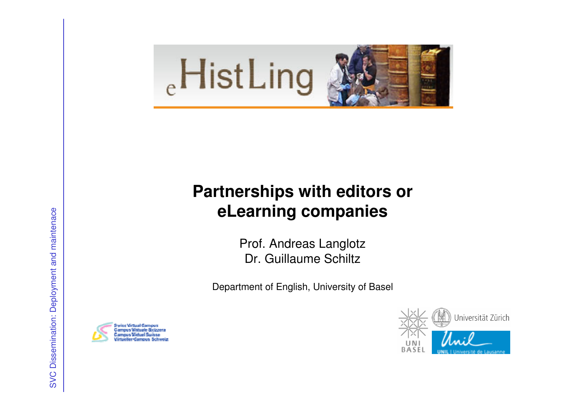

# **Partnerships with editors or eLearning companies**

Prof. Andreas LanglotzDr. Guillaume Schiltz

Department of English, University of Basel



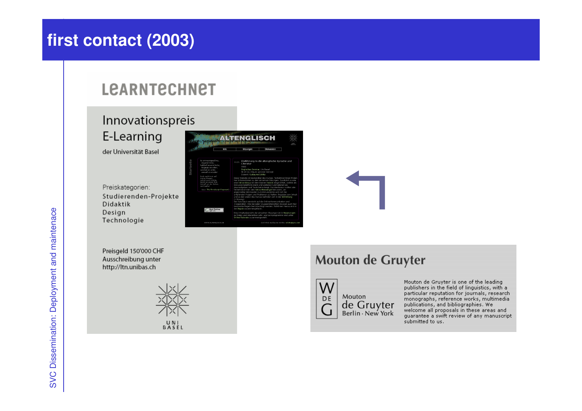# first contact (2003)

#### **LEARNTECHNET**

## Innovationspreis

E-Learning

der Universität Basel

Preiskategorien: Studierenden-Projekte Didaktik Design Technologie

Preisgeld 150'000 CHF Ausschreibung unter http://ltn.unibas.ch





#### Mouton de Gruyter



Mouton de Gruyter is one of the leading publishers in the field of linguistics, with a particular reputation for journals, research particular reputation for journals, research<br>monographs, reference works, multimedia<br>publications, and bibliographies. We welcome all proposals in these areas and quarantee a swift review of any manuscript submitted to us.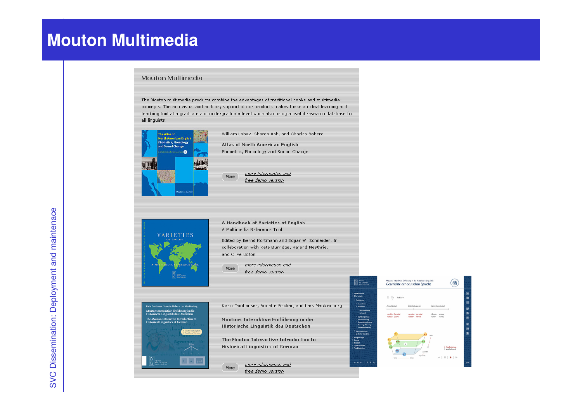## **Mouton Multimedia**

#### Mouton Multimedia

The Mouton multimedia products combine the advantages of traditional books and multimedia concepts. The rich visual and auditory support of our products makes these an ideal learning and teaching tool at a graduate and undergraduate level while also being a useful research database for all linguists.



**VARIETIES** 

William Labov, Sharon Ash, and Charles Boberg Atlas of North American English

free demo version

more information and

A Handbook of Varieties of English A Multimedia Reference Tool

Edited by Bernd Kortmann and Edgar W. Schneider. In collaboration with Kate Burridge, Rajend Mesthrie, and Clive Upton

more information and More free demo version



more information and

free demo version

More



Marian<br>Call de Gruyter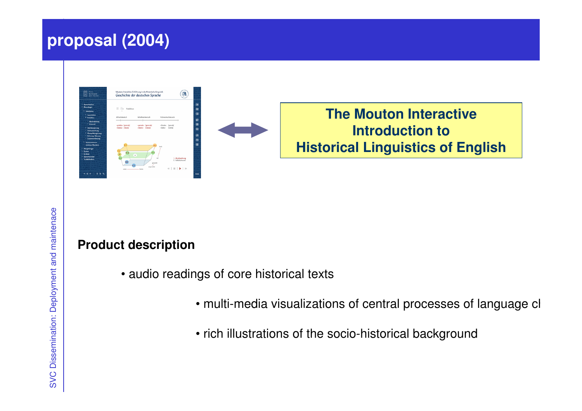## **proposal (2004)**





**The Mouton InteractiveIntroduction to Historical Linguistics of English**

#### **Product description**

- audio readings of core historical texts
	- $\bullet$  multi-media visualizations of central processes of language cl
	- rich illustrations of the socio-historical background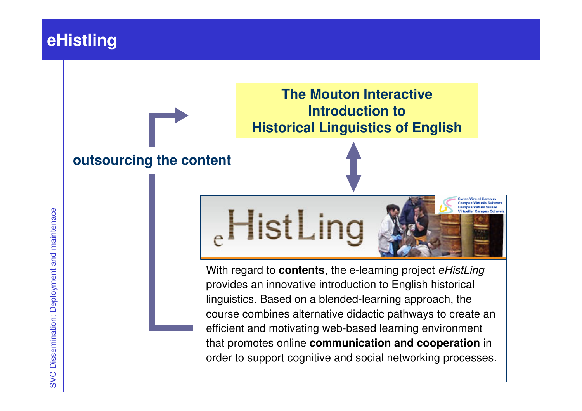## **eHistling**

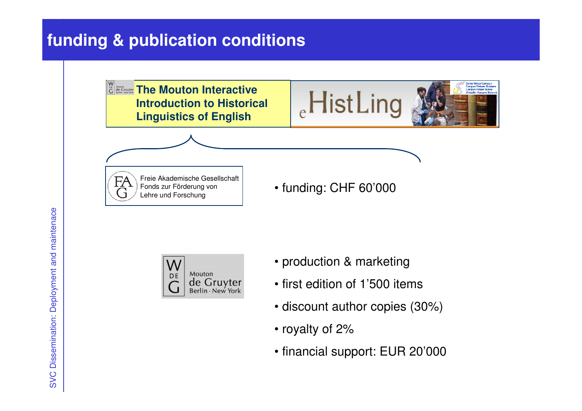# **funding & publication conditions**

**The Mouton Interactive Introduction to Historical Linguistics of English**



Freie Akademische GesellschaftFonds zur Förderung von Lehre und Forschung

• funding: CHF 60'000



- production & marketing
- first edition of 1'500 items
- discount author copies (30%)
- royalty of 2%
- financial support: EUR 20'000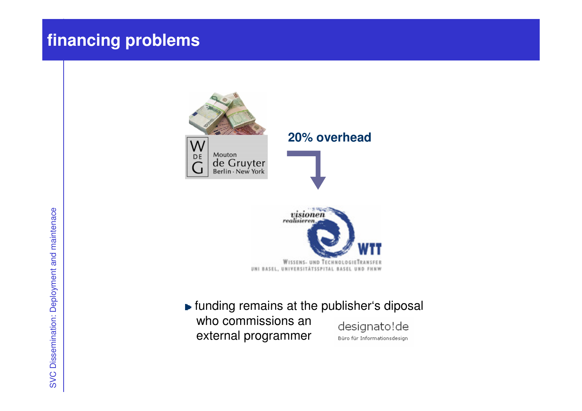# **financing problems**





**Funding remains at the publisher's diposal** who commissions an designato!de external programmerBüro für Informationsdesign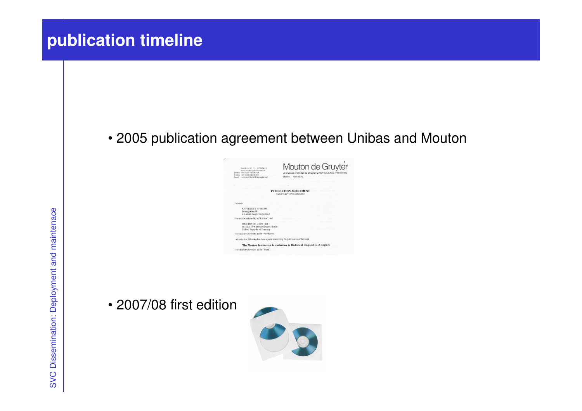# **publication timeline**

#### • 2005 publication agreement between Unibas and Mouton

| Garitános Str. 48 - 93705 Barlin<br>www.tebaton-calciators.com<br>TANKIN +49 (0130-250-25-115)<br>Trindial - 49 (0) 80-230-251<br>Front - remains exist in the system and | Mouton de Gruyter<br>A Division of Walter de Crayter CrittiH & Co. KG - Publishers<br>Berlin - New York |
|---------------------------------------------------------------------------------------------------------------------------------------------------------------------------|---------------------------------------------------------------------------------------------------------|
|                                                                                                                                                                           |                                                                                                         |
|                                                                                                                                                                           | PUBLICATION AGREEMENT<br>made this 22 <sup>th</sup> of Newssher 2015                                    |
| <b>Network</b>                                                                                                                                                            |                                                                                                         |
| UNIVERSITY OF BASEL<br>Petersonaben 35<br>CIL4003 Brief / Switzerland                                                                                                     |                                                                                                         |
| - hereins the referred to as "Unilities", and                                                                                                                             |                                                                                                         |
| MOUTON DE GRUNTER<br>Division of Walter de Grayter, Barlin.<br>Federal Republic of Germany                                                                                |                                                                                                         |
| bereits dies referred to as the "Publishers"                                                                                                                              |                                                                                                         |
| whereby the following has been agened concerning the publication of the work.                                                                                             |                                                                                                         |
|                                                                                                                                                                           | The Mouton Interactive Introduction to Historical Linguistics of English                                |
|                                                                                                                                                                           |                                                                                                         |